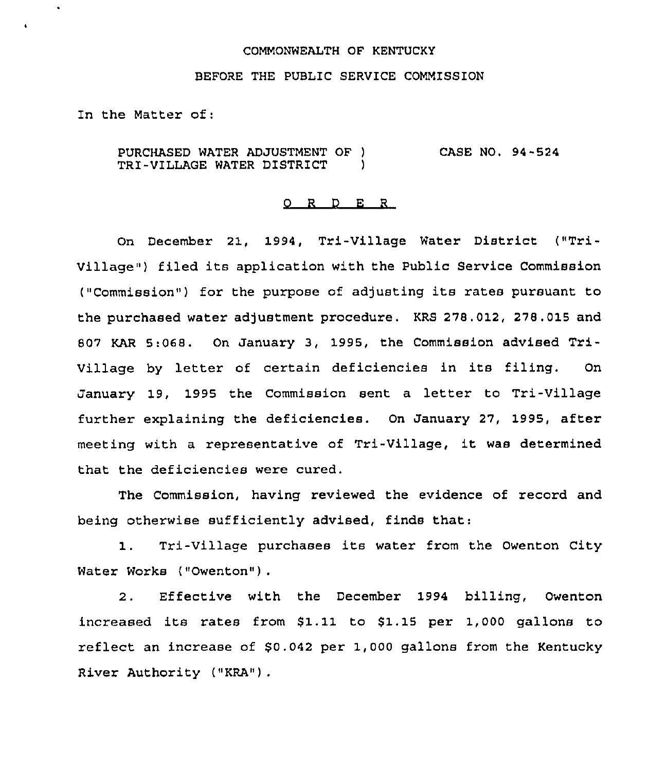## COMMONWEALTH OF KENTUCKY

## BEFORE THE PUBLIC SERVICE COMMISSION

In the Matter of:

 $\ddot{\phantom{0}}$ 

PURCHASED WATER ADJUSTMENT OF ) TRI-VILLAGE WATER DISTR1CT ) CASE NO. 94-524

## 0 R <sup>D</sup> E <sup>R</sup>

On December 21, 1994, Tri-Village Water District ("Tri-Village") filed its application with the Public Service Commission ("Commission") for the purpose of adjusting its rates pursuant to the purchased water adjustment procedure. KRS 278.012, 278.015 and 807 KAR 5:068. On January 3, 1995, the Commission advised Tri-Village by letter of certain deficiencies in its filing. On January 19, 1995 the Commission sent a letter to Tri-Village further explaining the deficiencies. On January 27, 1995, after meeting with <sup>a</sup> representative of Tri-Village, it was determined that the deficiencies were cured.

The Commission, having reviewed the evidence of record and being otherwise sufficiently advised, finds that:

Tri-Village purchases its water from the Owenton City  $1.$ Water Works ("Owenton") .

2. Effective with the December 1994 billing, Owenton increased its rates from  $$1.11$  to  $$1.15$  per 1,000 gallons to reflect an increase of  $$0.042$  per 1,000 gallons from the Kentucky River Authority ("KRA") .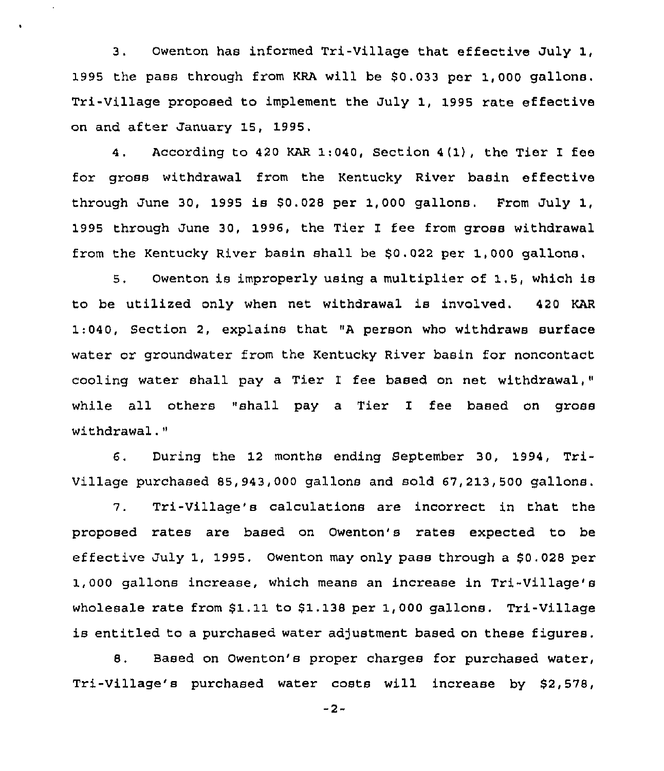3, Owenton has informed Tri-Village that effective July 1, 1995 the pass through from KRA will be \$0.033 per 1,000 gallons. Tri-Village proposed to implement the July 1, 1995 rate effective on and after January 15, 1995,

4. According to 420 KAR 1:040, Section 4(1), the Tier I fee for gross withdrawal fxom the Kentucky River basin effective through June 30, 1995 is \$0.028 per 1,000 gallons. From July 1, 1995 through June 30, 1996, the Tier I fee from gross withdrawal from the Kentucky River basin shall be  $$0.022$  per 1,000 gallons,

5. Owenton is improperly using a multiplier of 1.5, which is to be utilized only when net withdrawal is involved. 420 KAR  $1:040$ , Section 2, explains that "A person who withdraws surface water or groundwater from the Kentucky River basin for noncontact cooling water shall pay a Tier I fee based on net withdrawal," while all others "shall pay a Tier I fee based on gross withdrawal."

6. During the 12 months ending September 30, 1994, Tri-Village puxchased 85,943,000 gallons and sold 67,213,500 gallons.

7. Tri-Village's calculations are incorrect in that the proposed rates are based on Owenton's rates expected to be effective July 1, 1995. Owenton may only pass through a \$0.028 per 1,000 gallons increase, which means an increase in Tri-Village's wholesale rate from \$1.11 to \$1.138 per 1,000 gallons. Tri-Village is entitled to a purchased water adjustment based on these figures.

8. Based on Owenton's proper charges for purchased water, Tri-Village's purchased water costs will increase by \$2,578,

 $-2-$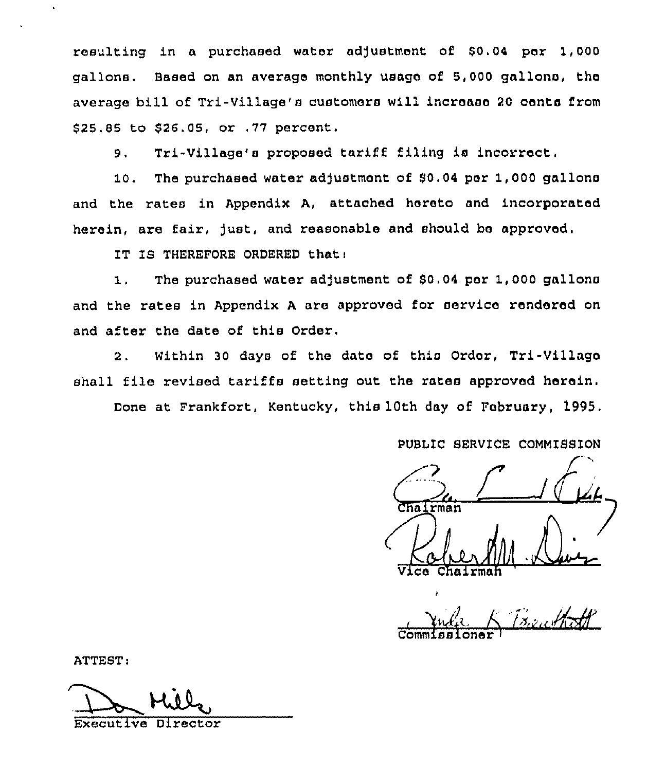resulting in a purchased water adjustment of \$0.04 per 1,000 gallons. Based on an average monthly usage of 5,000 gallons, the average bill of Tri-Village's customers will increase <sup>20</sup> conte from \$25.85 to \$26.05, or ,77 percent.

5. Tri-Village's proposed tariff filing is incorroct,

10. The purchased water adjustment of \$0.04 per 1,000 gallons and the rates in Appendix A, attached hereto and incorporated herein, are fair, just, and reasonable and should be approved,

IT IS THEREFORE ORDERED that:

1. The purchased water adjustment of  $$0.04$  por 1,000 gallons and the rates in Appendix <sup>A</sup> are approved for service rendered on and after the date of this Order.

2. Within 30 days of the date of this Ordor, Tri-Village shall file revised tariffs setting out the rates approved heroin.

Done at Frankfort, Kentucky, this 10th day of February, 1995.

PUBIIC SERVICE COMMISSION

 $\sqrt{r}$ Chairman CA.

I Jula K Bauthoff Commissioner <sup>l</sup>

ATTEST:

Executive Director